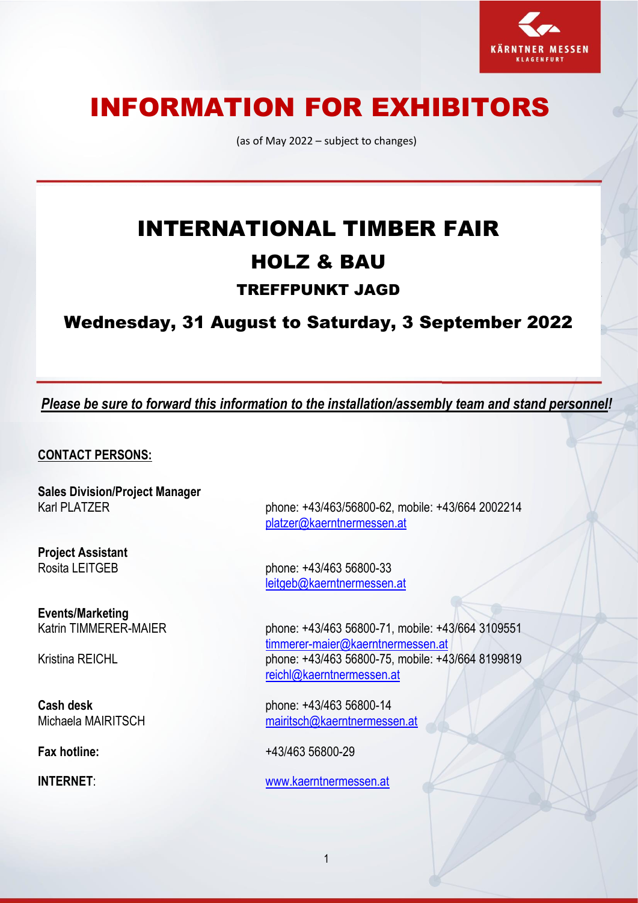

# INFORMATION FOR EXHIBITORS

(as of May 2022 – subject to changes)

# INTERNATIONAL TIMBER FAIR HOLZ & BAU TREFFPUNKT JAGD

Wednesday, 31 August to Saturday, 3 September 2022

*Please be sure to forward this information to the installation/assembly team and stand personnel!*

**CONTACT PERSONS:**

**Sales Division/Project Manager**

**Project Assistant**

**Events/Marketing**

Karl PLATZER phone: +43/463/56800-62, mobile: +43/664 2002214 [platzer@kaerntnermessen.at](mailto:platzer@kaerntnermessen.at)

Rosita LEITGEB phone: +43/463 56800-33 [leitgeb@kaerntnerm](mailto:leitgeb@kaerntner)essen.at

phone: +43/463 56800-71, mobile: +43/664 3109551 [timmerer-maier@kaerntnermessen.at](mailto:timmerer-maier@kaerntnermessen.at) Kristina REICHL phone: +43/463 56800-75, mobile: +43/664 8199819 [reichl@kaerntnermessen.at](mailto:reichl@kaerntnermessen.at)

**Cash desk** phone: +43/463 56800-14 Michaela MAIRITSCH [mairitsch@kaerntnermessen.at](mailto:mairitsch@kaerntnermessen.at)

**Fax hotline:** +43/463 56800-29

**INTERNET**: [www.kaerntnermessen.at](http://www.kaerntnermessen.at/)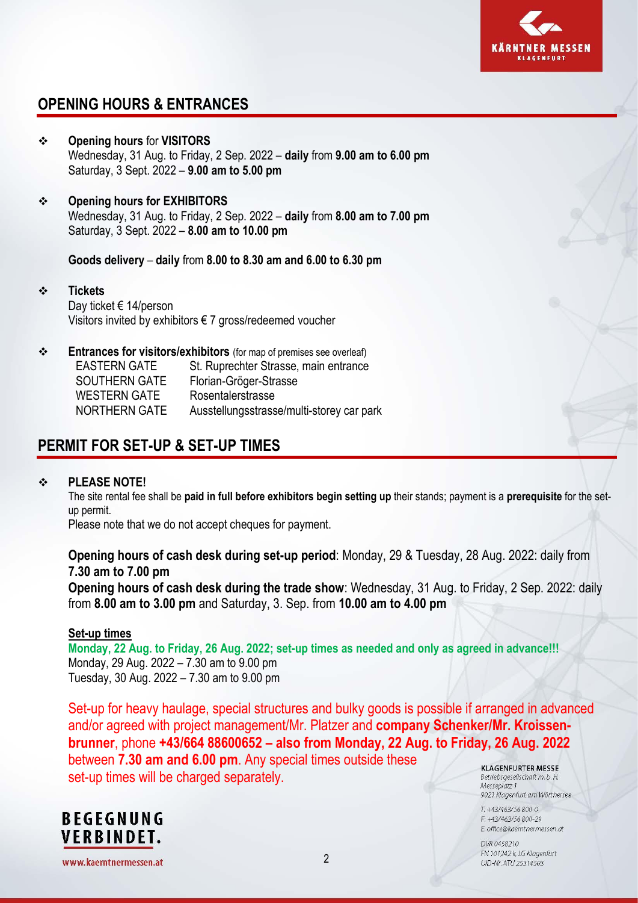

# **OPENING HOURS & ENTRANCES**

- ❖ **Opening hours** for **VISITORS** Wednesday, 31 Aug. to Friday, 2 Sep. 2022 – **daily** from **9.00 am to 6.00 pm** Saturday, 3 Sept. 2022 – **9.00 am to 5.00 pm**
- ❖ **Opening hours for EXHIBITORS** Wednesday, 31 Aug. to Friday, 2 Sep. 2022 – **daily** from **8.00 am to 7.00 pm** Saturday, 3 Sept. 2022 – **8.00 am to 10.00 pm**

**Goods delivery** – **daily** from **8.00 to 8.30 am and 6.00 to 6.30 pm**

- ❖ **Tickets** Day ticket € 14/person Visitors invited by exhibitors € 7 gross/redeemed voucher
- ❖ **Entrances for visitors/exhibitors** (for map of premises see overleaf) EASTERN GATE St. Ruprechter Strasse, main entrance SOUTHERN GATE Florian-Gröger-Strasse WESTERN GATE Rosentalerstrasse NORTHERN GATE Ausstellungsstrasse/multi-storey car park

# **PERMIT FOR SET-UP & SET-UP TIMES**

#### ❖ **PLEASE NOTE!**

The site rental fee shall be **paid in full before exhibitors begin setting up** their stands; payment is a **prerequisite** for the setup permit.

Please note that we do not accept cheques for payment.

**Opening hours of cash desk during set-up period**: Monday, 29 & Tuesday, 28 Aug. 2022: daily from **7.30 am to 7.00 pm**

**Opening hours of cash desk during the trade show**: Wednesday, 31 Aug. to Friday, 2 Sep. 2022: daily from **8.00 am to 3.00 pm** and Saturday, 3. Sep. from **10.00 am to 4.00 pm**

#### **Set-up times**

**Monday, 22 Aug. to Friday, 26 Aug. 2022; set-up times as needed and only as agreed in advance!!!** Monday, 29 Aug. 2022 – 7.30 am to 9.00 pm Tuesday, 30 Aug. 2022 – 7.30 am to 9.00 pm

Set-up for heavy haulage, special structures and bulky goods is possible if arranged in advanced and/or agreed with project management/Mr. Platzer and **company Schenker/Mr. Kroissenbrunner**, phone **+43/664 88600652 – also from Monday, 22 Aug. to Friday, 26 Aug. 2022** between **7.30 am and 6.00 pm**. Any special times outside these **KLAGENFURTER MESSE** set-up times will be charged separately.Betriebsgesellschaft m. b. H.

**BEGEGNUNG VERBINDET.** 

Messeplatz 1

9021 Klagenfurt am Wörthersee T: +43/463/56 800-0  $F + 43/463/56800 - 29$ 

E: office@kaemtnermessen.at

DVR 0458210 FN 101242 k, LG Klagenfurt UID-Nr. ATU 25314503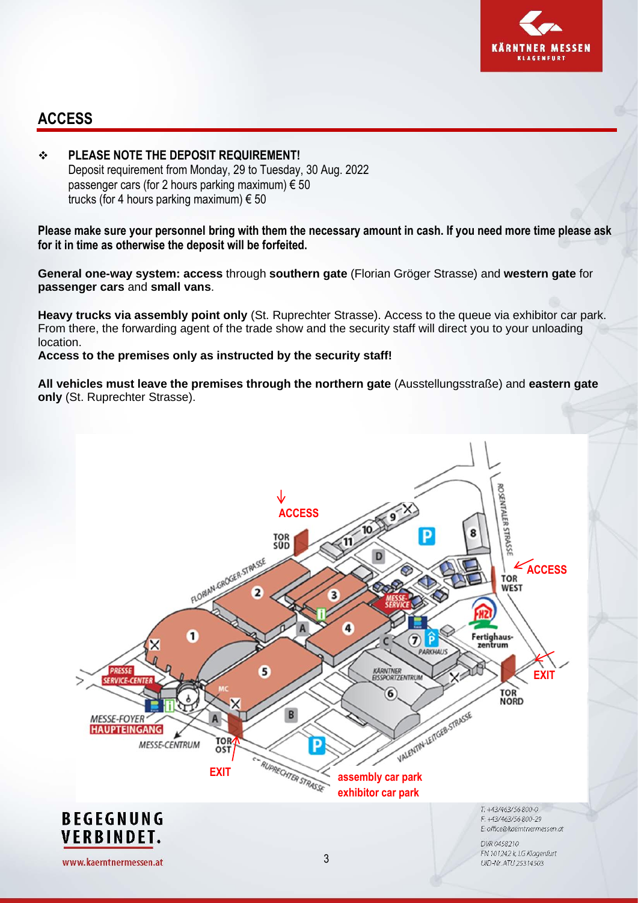

### **ACCESS**

❖ **PLEASE NOTE THE DEPOSIT REQUIREMENT!** Deposit requirement from Monday, 29 to Tuesday, 30 Aug. 2022 passenger cars (for 2 hours parking maximum)  $\epsilon$  50 trucks (for 4 hours parking maximum)  $\epsilon$  50

**Please make sure your personnel bring with them the necessary amount in cash. If you need more time please ask for it in time as otherwise the deposit will be forfeited.**

**General one-way system: access** through **southern gate** (Florian Gröger Strasse) and **western gate** for **passenger cars** and **small vans**.

**Heavy trucks via assembly point only** (St. Ruprechter Strasse). Access to the queue via exhibitor car park. From there, the forwarding agent of the trade show and the security staff will direct you to your unloading location.

**Access to the premises only as instructed by the security staff!**

**All vehicles must leave the premises through the northern gate** (Ausstellungsstraße) and **eastern gate only** (St. Ruprechter Strasse).

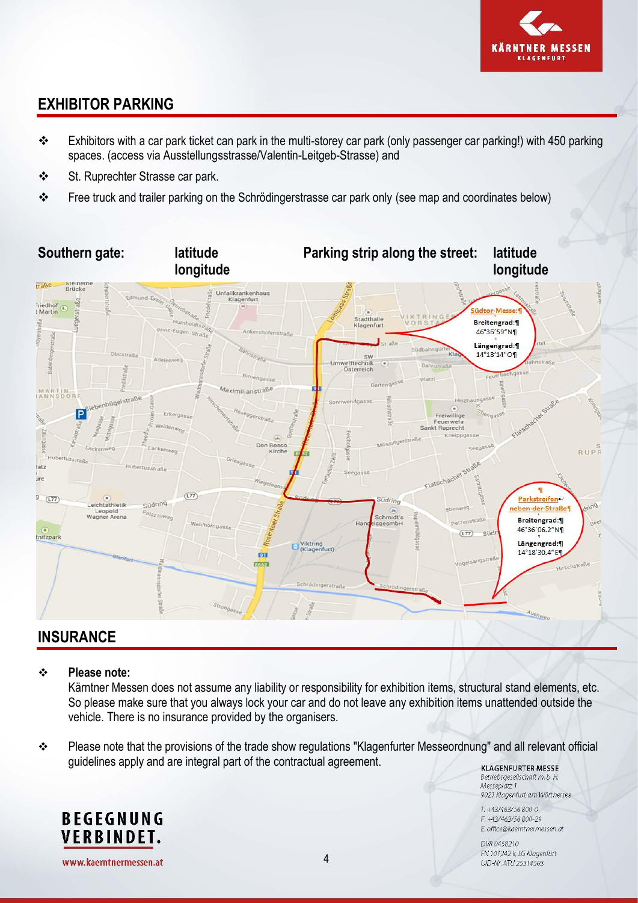

# **EXHIBITOR PARKING**

- ❖ Exhibitors with a car park ticket can park in the multi-storey car park (only passenger car parking!) with 450 parking spaces. (access via Ausstellungsstrasse/Valentin-Leitgeb-Strasse) and
- ❖ St. Ruprechter Strasse car park.
- ❖ Free truck and trailer parking on the Schrödingerstrasse car park only (see map and coordinates below)



## **INSURANCE**

#### ❖ **Please note:**

Kärntner Messen does not assume any liability or responsibility for exhibition items, structural stand elements, etc. So please make sure that you always lock your car and do not leave any exhibition items unattended outside the vehicle. There is no insurance provided by the organisers.

❖ Please note that the provisions of the trade show regulations "Klagenfurter Messeordnung" and all relevant official guidelines apply and are integral part of the contractual agreement. **KLAGENFURTER MESSE** 

Betriebsgesellschaft m. b. H. Messeplatz 1 9021 Klagenfurt am Wörthersee

T: +43/463/56 800-0 F: +43/463/56 800-29 E: office@kaemtnermessen.at

DVR 0458210 FN 101242 k, LG Klagenfurt UID-Nr. ATU 25314503



www.kaerntnermessen.at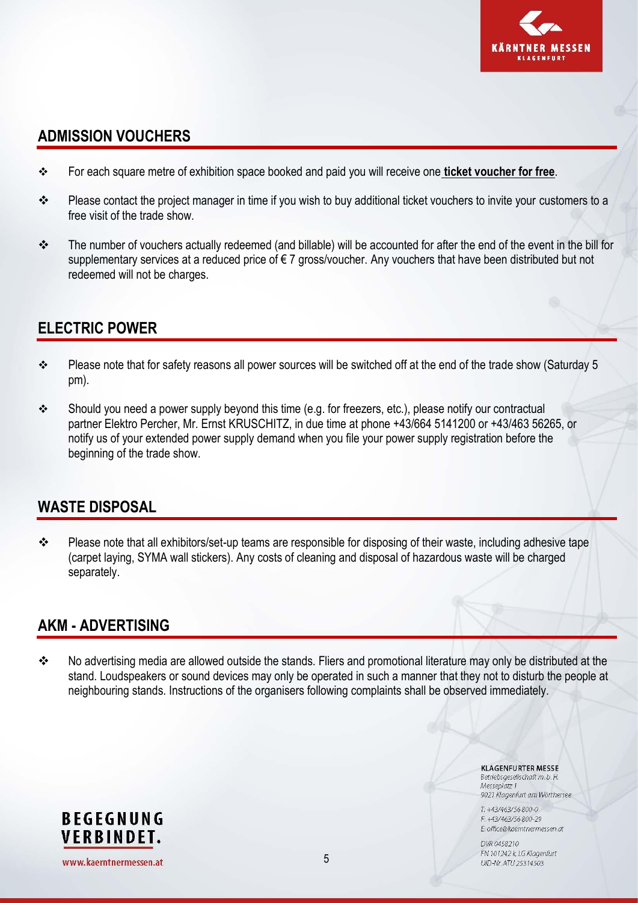

### **ADMISSION VOUCHERS**

- ❖ For each square metre of exhibition space booked and paid you will receive one **ticket voucher for free**.
- ❖ Please contact the project manager in time if you wish to buy additional ticket vouchers to invite your customers to a free visit of the trade show.
- ❖ The number of vouchers actually redeemed (and billable) will be accounted for after the end of the event in the bill for supplementary services at a reduced price of €7 gross/voucher. Any vouchers that have been distributed but not redeemed will not be charges.

## **ELECTRIC POWER**

- ❖ Please note that for safety reasons all power sources will be switched off at the end of the trade show (Saturday 5 pm).
- ❖ Should you need a power supply beyond this time (e.g. for freezers, etc.), please notify our contractual partner Elektro Percher, Mr. Ernst KRUSCHITZ, in due time at phone +43/664 5141200 or +43/463 56265, or notify us of your extended power supply demand when you file your power supply registration before the beginning of the trade show.

### **WASTE DISPOSAL**

❖ Please note that all exhibitors/set-up teams are responsible for disposing of their waste, including adhesive tape (carpet laying, SYMA wall stickers). Any costs of cleaning and disposal of hazardous waste will be charged separately.

### **AKM - ADVERTISING**

❖ No advertising media are allowed outside the stands. Fliers and promotional literature may only be distributed at the stand. Loudspeakers or sound devices may only be operated in such a manner that they not to disturb the people at neighbouring stands. Instructions of the organisers following complaints shall be observed immediately.

> **KLAGENFURTER MESSE** Betriebsgesellschaft m. b. H.

Messeplatz 1 9021 Klagenfurt am Wörthersee

T: +43/463/56 800-0  $F + 43/463/56800 - 29$ E: office@kaemtnermessen.at

DVR 0458210 FN 101242 k, LG Klagenfurt UID-Nr. ATU 25314503